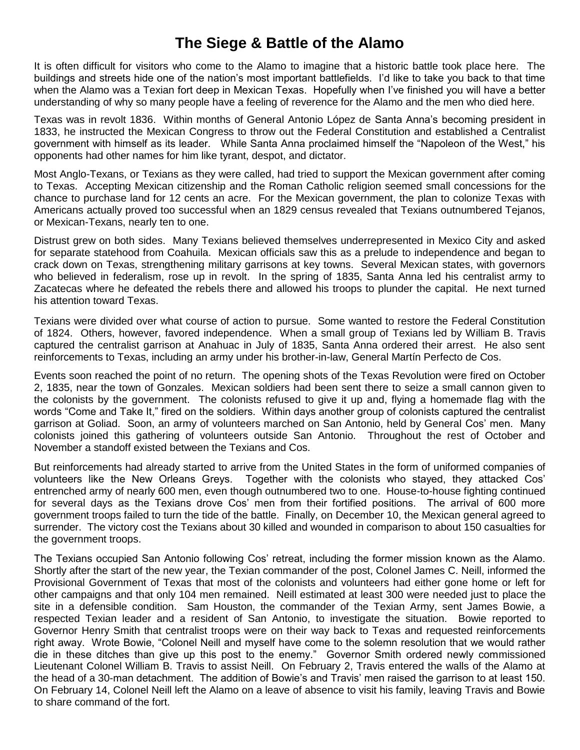## **The Siege & Battle of the Alamo**

It is often difficult for visitors who come to the Alamo to imagine that a historic battle took place here. The buildings and streets hide one of the nation's most important battlefields. I'd like to take you back to that time when the Alamo was a Texian fort deep in Mexican Texas. Hopefully when I've finished you will have a better understanding of why so many people have a feeling of reverence for the Alamo and the men who died here.

Texas was in revolt 1836. Within months of General Antonio López de Santa Anna's becoming president in 1833, he instructed the Mexican Congress to throw out the Federal Constitution and established a Centralist government with himself as its leader. While Santa Anna proclaimed himself the "Napoleon of the West," his opponents had other names for him like tyrant, despot, and dictator.

Most Anglo-Texans, or Texians as they were called, had tried to support the Mexican government after coming to Texas. Accepting Mexican citizenship and the Roman Catholic religion seemed small concessions for the chance to purchase land for 12 cents an acre. For the Mexican government, the plan to colonize Texas with Americans actually proved too successful when an 1829 census revealed that Texians outnumbered Tejanos, or Mexican-Texans, nearly ten to one.

Distrust grew on both sides. Many Texians believed themselves underrepresented in Mexico City and asked for separate statehood from Coahuila. Mexican officials saw this as a prelude to independence and began to crack down on Texas, strengthening military garrisons at key towns. Several Mexican states, with governors who believed in federalism, rose up in revolt. In the spring of 1835, Santa Anna led his centralist army to Zacatecas where he defeated the rebels there and allowed his troops to plunder the capital. He next turned his attention toward Texas.

Texians were divided over what course of action to pursue. Some wanted to restore the Federal Constitution of 1824. Others, however, favored independence. When a small group of Texians led by William B. Travis captured the centralist garrison at Anahuac in July of 1835, Santa Anna ordered their arrest. He also sent reinforcements to Texas, including an army under his brother-in-law, General Martín Perfecto de Cos.

Events soon reached the point of no return. The opening shots of the Texas Revolution were fired on October 2, 1835, near the town of Gonzales. Mexican soldiers had been sent there to seize a small cannon given to the colonists by the government. The colonists refused to give it up and, flying a homemade flag with the words "Come and Take It," fired on the soldiers. Within days another group of colonists captured the centralist garrison at Goliad. Soon, an army of volunteers marched on San Antonio, held by General Cos' men. Many colonists joined this gathering of volunteers outside San Antonio. Throughout the rest of October and November a standoff existed between the Texians and Cos.

But reinforcements had already started to arrive from the United States in the form of uniformed companies of volunteers like the New Orleans Greys. Together with the colonists who stayed, they attacked Cos' entrenched army of nearly 600 men, even though outnumbered two to one. House-to-house fighting continued for several days as the Texians drove Cos' men from their fortified positions. The arrival of 600 more government troops failed to turn the tide of the battle. Finally, on December 10, the Mexican general agreed to surrender. The victory cost the Texians about 30 killed and wounded in comparison to about 150 casualties for the government troops.

The Texians occupied San Antonio following Cos' retreat, including the former mission known as the Alamo. Shortly after the start of the new year, the Texian commander of the post, Colonel James C. Neill, informed the Provisional Government of Texas that most of the colonists and volunteers had either gone home or left for other campaigns and that only 104 men remained. Neill estimated at least 300 were needed just to place the site in a defensible condition. Sam Houston, the commander of the Texian Army, sent James Bowie, a respected Texian leader and a resident of San Antonio, to investigate the situation. Bowie reported to Governor Henry Smith that centralist troops were on their way back to Texas and requested reinforcements right away. Wrote Bowie, "Colonel Neill and myself have come to the solemn resolution that we would rather die in these ditches than give up this post to the enemy." Governor Smith ordered newly commissioned Lieutenant Colonel William B. Travis to assist Neill. On February 2, Travis entered the walls of the Alamo at the head of a 30-man detachment. The addition of Bowie's and Travis' men raised the garrison to at least 150. On February 14, Colonel Neill left the Alamo on a leave of absence to visit his family, leaving Travis and Bowie to share command of the fort.